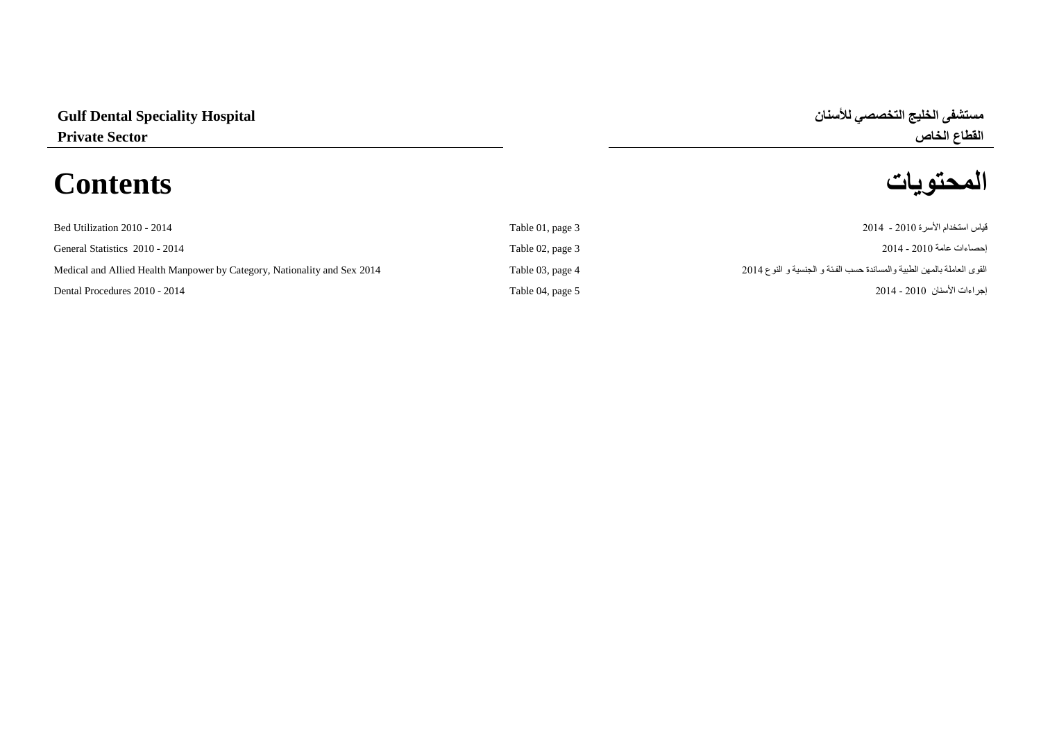### **مستشفى الخليج التخصصي لألسنان Hospital Speciality Dental Gulf**

## **المحتويات Contents**

# **القطاع الخاص Sector Private**

| Bed Utilization 2010 - 2014                                              | Table 01, page 3 | قياس استخدام الأسر ة 2010 - 2014                                       |
|--------------------------------------------------------------------------|------------------|------------------------------------------------------------------------|
| General Statistics 2010 - 2014                                           | Table 02, page 3 | احصـاءات عامة 2010 - 2014                                              |
| Medical and Allied Health Manpower by Category, Nationality and Sex 2014 | Table 03, page 4 | القوى العاملة بالمهن الطبية والمساندة حسب الفئة و الجنسية و النوع 2014 |
| Dental Procedures 2010 - 2014                                            | Table 04, page 5 | اجر اءات الأسنان  2010 - 2014                                          |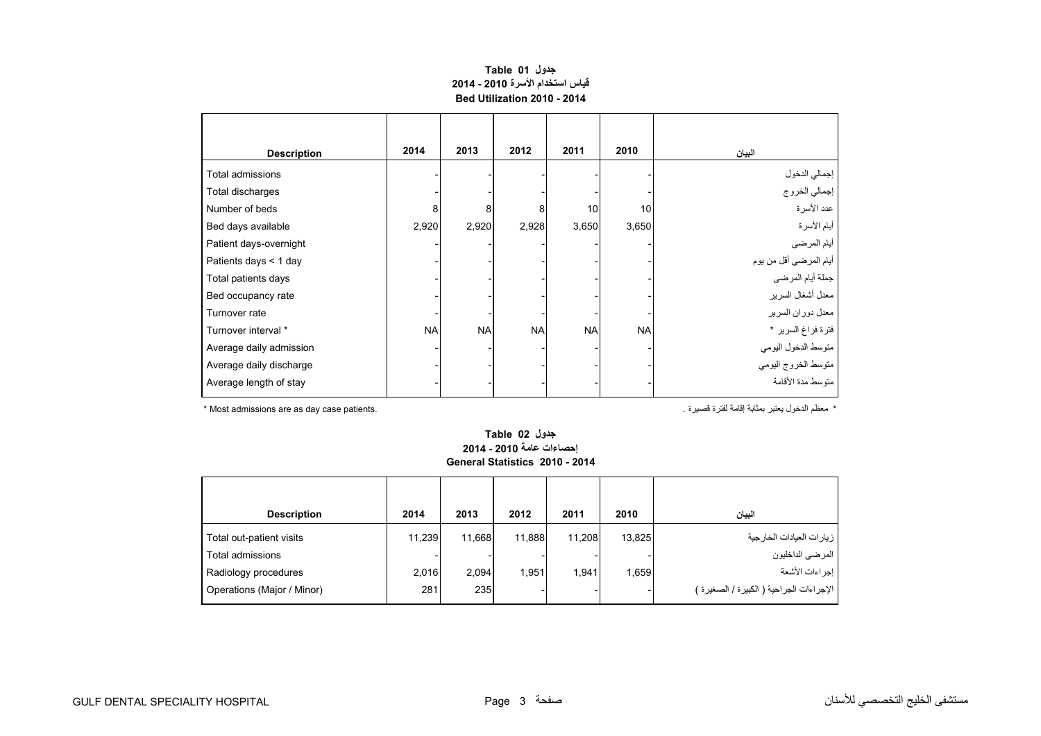#### **جدول 01 Table قياس استخدام األسرة 2010 - 2014 Bed Utilization 2010 - 2014**

<span id="page-1-0"></span>

| <b>Description</b>      | 2014      | 2013      | 2012      | 2011      | 2010      | البيان                  |
|-------------------------|-----------|-----------|-----------|-----------|-----------|-------------------------|
| Total admissions        |           |           |           |           |           | إجمالي الدخول           |
| Total discharges        |           |           |           |           |           | إجمالي الخروج           |
| Number of beds          | 8         | 8         | 8         | 10        | 10        | عدد الأسرة              |
| Bed days available      | 2,920     | 2,920     | 2,928     | 3,650     | 3,650     | أيام الأسرة             |
| Patient days-overnight  |           |           |           |           |           | أيام المرضى             |
| Patients days < 1 day   |           |           |           |           |           | أيام المرضىي أقل من يوم |
| Total patients days     |           |           |           |           |           | جملة أيام المرضى        |
| Bed occupancy rate      |           |           |           |           |           | معدل أشغال السرير       |
| Turnover rate           |           |           |           |           |           | معدل دوران السرير       |
| Turnover interval *     | <b>NA</b> | <b>NA</b> | <b>NA</b> | <b>NA</b> | <b>NA</b> | فترة فراغ السرير *      |
| Average daily admission |           |           |           |           |           | متوسط الدخول اليومي     |
| Average daily discharge |           |           |           |           |           | متوسط الخروج اليومي     |
| Average length of stay  |           |           |           |           |           | متوسط مدة الأقامة       |

\* معظم الدخول يعتبر بمثابة إقامة لفترة قصيرة . .patients case day as are admissions Most\*

#### **جدول 02 Table إحصاءات عامة 2010 - 2014 General Statistics 2010 - 2014**

| <b>Description</b>         | 2014   | 2013   | 2012   | 2011   | 2010   | البيان                                   |
|----------------------------|--------|--------|--------|--------|--------|------------------------------------------|
| Total out-patient visits   | 11,239 | 11,668 | 11.888 | 11,208 | 13,825 | إزيارات العيادات الخارجية                |
| Total admissions           |        |        |        |        |        | ا المرضى الداخليون                       |
| Radiology procedures       | 2,016  | 2,094  | 1,951  | 1.941  | 1,659  | ا إجراءات الأشعة                         |
| Operations (Major / Minor) | 281    | 235    |        |        |        | الإجراءات الجراحية ( الكبيرة / الصغيرة ) |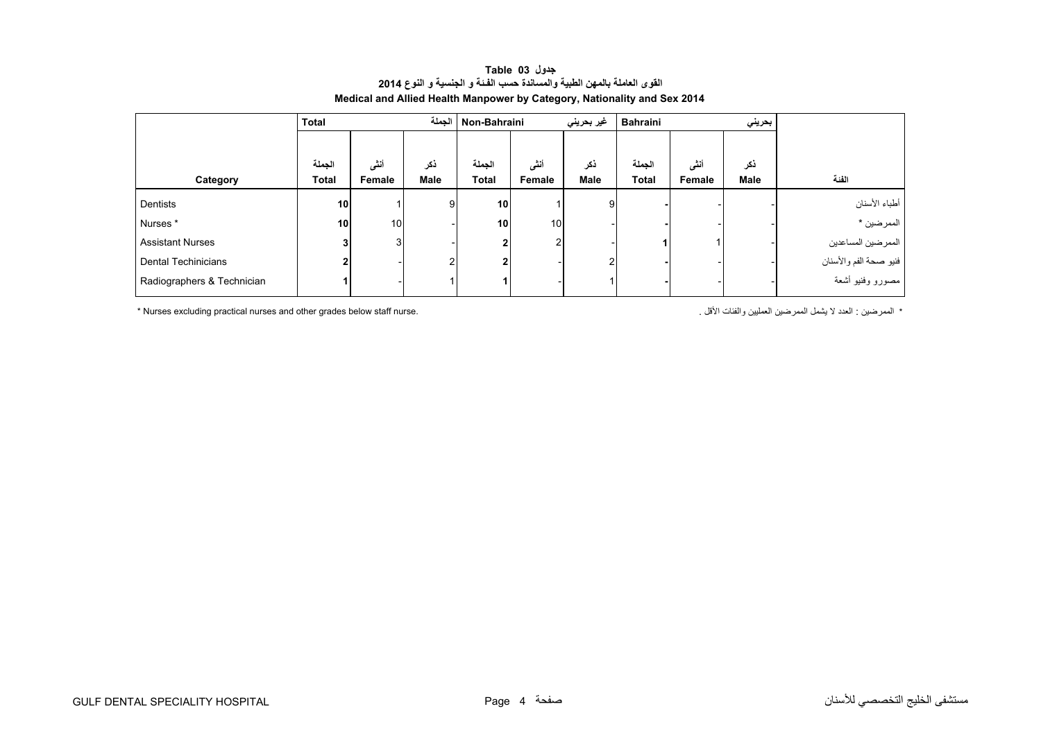<span id="page-2-0"></span>

|                            | <b>Total</b>    |                 |      | Non-Bahraini الجملة<br>غير بحريني |        |      | Bahraini<br>بحريني |        |      |                        |
|----------------------------|-----------------|-----------------|------|-----------------------------------|--------|------|--------------------|--------|------|------------------------|
|                            |                 |                 |      |                                   |        |      |                    |        |      |                        |
|                            | الجملة          | أنثى            | نكر  | الجملة                            | أنشى   | ذكر  | الجملة             | أنشى   | ذكر  |                        |
| Category                   | <b>Total</b>    | Female          | Male | <b>Total</b>                      | Female | Male | <b>Total</b>       | Female | Male | الفئة                  |
| Dentists                   | 10 <sub>1</sub> |                 | 9    | 10                                |        | 9    |                    |        |      | أطباء الأسنان          |
| Nurses*                    | 10              | 10 <sub>1</sub> |      | 10 <sub>1</sub>                   | 10     |      |                    |        |      | الممرضين *             |
| <b>Assistant Nurses</b>    | 3 <sub>l</sub>  | 3               |      | $\mathbf{2}$                      | 2      |      |                    |        |      | الممرضين المساعدين     |
| Dental Techinicians        | 2               |                 |      | 2                                 |        | 2    |                    |        |      | فنيو صحة الفم والأسنان |
| Radiographers & Technician |                 |                 |      |                                   |        |      |                    |        |      | مصورو وفنيو أشعة       |

#### **جدول 03 Table القوى العاملة بالمھن الطبية والمساندة حسب الفـئة <sup>و</sup> الجنسية <sup>و</sup> النوع <sup>2014</sup> Medical and Allied Health Manpower by Category, Nationality and Sex 2014**

\* Nurses excluding practical nurses and other grades below staff nurse. . الممرضين العدد لا يشمل الممرضين العمليين والفئات الأقل .